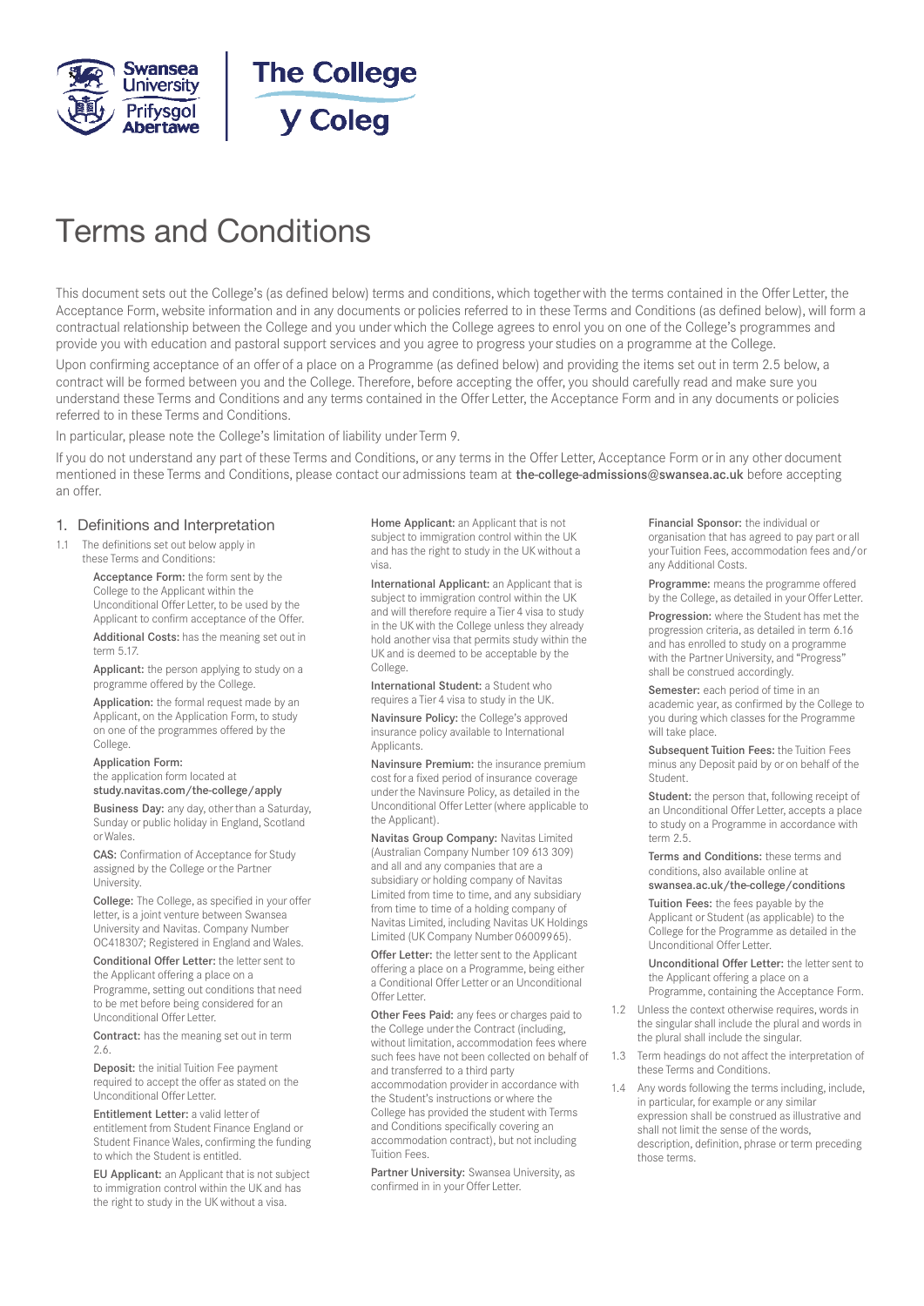



# Terms and Conditions

This document sets out the College's (as defined below) terms and conditions, which together with the terms contained in the Offer Letter, the Acceptance Form, website information and in any documents or policies referred to in these Terms and Conditions (as defined below), will form a contractual relationship between the College and you under which the College agrees to enrol you on one of the College's programmes and provide you with education and pastoral support services and you agree to progress your studies on a programme at the College.

Upon confirming acceptance of an offer of a place on a Programme (as defined below) and providing the items set out in term 2.5 below, a contract will be formed between you and the College. Therefore, before accepting the offer, you should carefully read and make sure you understand these Terms and Conditions and any terms contained in the Offer Letter, the Acceptance Form and in any documents or policies referred to in these Terms and Conditions.

In particular, please note the College's limitation of liability under Term 9.

If you do not understand any part of these Terms and Conditions, or any terms in the Offer Letter, Acceptance Form or in any other document mentioned in these Terms and Conditions, please contact our admissions team at the-college-admissions@swansea.ac.uk before accepting an offer.

#### 1. Definitions and Interpretation

1.1 The definitions set out below apply in these Terms and Conditions:

> Acceptance Form: the form sent by the College to the Applicant within the Unconditional Offer Letter, to be used by the Applicant to confirm acceptance of the Offer.

Additional Costs: has the meaning set out in term 5.17.

Applicant: the person applying to study on a programme offered by the College.

Application: the formal request made by an Applicant, on the Application Form, to study on one of the programmes offered by the College.

#### Application Form:

the application form located at study.navitas.com/the-college/apply

Business Day: any day, other than a Saturday, Sunday or public holiday in England, Scotland or Wales.

CAS: Confirmation of Acceptance for Study assigned by the College or the Partner University.

College: The College, as specified in your offer letter, is a joint venture between Swansea University and Navitas. Company Number OC418307; Registered in England and Wales.

Conditional Offer Letter: the letter sent to the Applicant offering a place on a Programme, setting out conditions that need to be met before being considered for an Unconditional Offer Letter.

Contract: has the meaning set out in term 2.6.

Deposit: the initial Tuition Fee payment required to accept the offer as stated on the Unconditional Offer Letter.

Entitlement Letter: a valid letter of entitlement from Student Finance England or Student Finance Wales, confirming the funding to which the Student is entitled.

EU Applicant: an Applicant that is not subject to immigration control within the UK and has the right to study in the UK without a visa.

Home Applicant: an Applicant that is not subject to immigration control within the UK and has the right to study in the UK without a visa.

International Applicant: an Applicant that is subject to immigration control within the UK and will therefore require a Tier 4 visa to study in the UK with the College unless they already hold another visa that permits study within the UK and is deemed to be acceptable by the College.

International Student: a Student who requires a Tier 4 visa to study in the UK.

Navinsure Policy: the College's approved insurance policy available to International **Applicants** 

Navinsure Premium: the insurance premium cost for a fixed period of insurance coverage under the Navinsure Policy, as detailed in the Unconditional Offer Letter (where applicable to the Applicant).

Navitas Group Company: Navitas Limited (Australian Company Number 109 613 309) and all and any companies that are a subsidiary or holding company of Navitas Limited from time to time, and any subsidiary from time to time of a holding company of Navitas Limited, including Navitas UK Holdings Limited (UK Company Number 06009965).

Offer Letter: the letter sent to the Applicant offering a place on a Programme, being either a Conditional Offer Letter or an Unconditional Offer Letter

Other Fees Paid: any fees or charges paid to the College under the Contract (including, without limitation, accommodation fees where such fees have not been collected on behalf of and transferred to a third party accommodation provider in accordance with the Student's instructions or where the College has provided the student with Terms and Conditions specifically covering an accommodation contract), but not including Tuition Fees.

Partner University: Swansea University, as confirmed in in your Offer Letter.

Financial Sponsor: the individual or organisation that has agreed to pay part or all your Tuition Fees, accommodation fees and/or any Additional Costs.

Programme: means the programme offered by the College, as detailed in your Offer Letter.

Progression: where the Student has met the progression criteria, as detailed in term 6.16 and has enrolled to study on a programme with the Partner University, and "Progress" shall be construed accordingly.

Semester: each period of time in an academic year, as confirmed by the College to you during which classes for the Programme will take place.

Subsequent Tuition Fees: the Tuition Fees minus any Deposit paid by or on behalf of the Student.

Student: the person that, following receipt of an Unconditional Offer Letter, accepts a place to study on a Programme in accordance with term 2.5.

Terms and Conditions: these terms and conditions, also available online at swansea.ac.uk/the-college/conditions

Tuition Fees: the fees payable by the Applicant or Student (as applicable) to the College for the Programme as detailed in the Unconditional Offer Letter.

Unconditional Offer Letter: the letter sent to the Applicant offering a place on a Programme, containing the Acceptance Form.

1.2 Unless the context otherwise requires, words in the singular shall include the plural and words in the plural shall include the singular.

- 1.3 Term headings do not affect the interpretation of these Terms and Conditions.
- Any words following the terms including, include, in particular, for example or any similar expression shall be construed as illustrative and shall not limit the sense of the words, description, definition, phrase or term preceding those terms.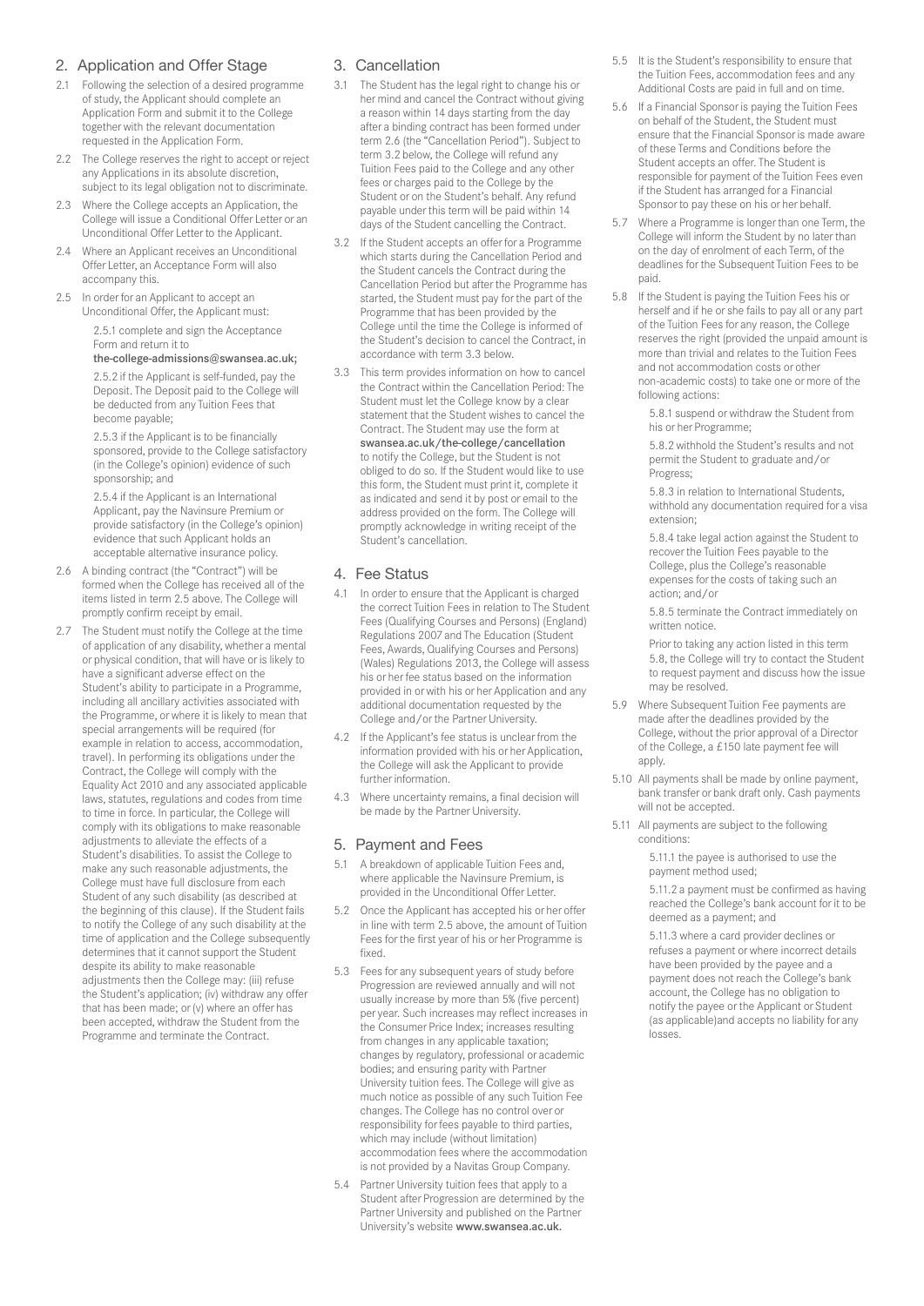# 2. Application and Offer Stage

- 2.1 Following the selection of a desired programme of study, the Applicant should complete an Application Form and submit it to the College together with the relevant documentation requested in the Application Form.
- 2.2 The College reserves the right to accept or reject any Applications in its absolute discretion, subject to its legal obligation not to discriminate.
- 2.3 Where the College accepts an Application, the College will issue a Conditional Offer Letter or an Unconditional Offer Letter to the Applicant.
- 2.4 Where an Applicant receives an Unconditional Offer Letter, an Acceptance Form will also accompany this.
- 2.5 In order for an Applicant to accept an Unconditional Offer, the Applicant must: 2.5.1 complete and sign the Acceptance Form and return it to

#### the-college-admissions@swansea.ac.uk;

2.5.2 if the Applicant is self-funded, pay the Deposit. The Deposit paid to the College will be deducted from any Tuition Fees that become payable;

2.5.3 if the Applicant is to be financially sponsored, provide to the College satisfactory (in the College's opinion) evidence of such sponsorship; and

2.5.4 if the Applicant is an International Applicant, pay the Navinsure Premium or provide satisfactory (in the College's opinion) evidence that such Applicant holds an acceptable alternative insurance policy.

- 2.6 A binding contract (the "Contract") will be formed when the College has received all of the items listed in term 2.5 above. The College will promptly confirm receipt by email.
- 2.7 The Student must notify the College at the time of application of any disability, whether a mental or physical condition, that will have or is likely to have a significant adverse effect on the Student's ability to participate in a Programme, including all ancillary activities associated with the Programme, or where it is likely to mean that special arrangements will be required (for example in relation to access, accommodation, travel). In performing its obligations under the Contract, the College will comply with the Equality Act 2010 and any associated applicable laws, statutes, regulations and codes from time to time in force. In particular, the College will comply with its obligations to make reasonable adjustments to alleviate the effects of a Student's disabilities. To assist the College to make any such reasonable adjustments, the College must have full disclosure from each Student of any such disability (as described at the beginning of this clause). If the Student fails to notify the College of any such disability at the time of application and the College subsequently determines that it cannot support the Student despite its ability to make reasonable adjustments then the College may: (iii) refuse the Student's application; (iv) withdraw any offer that has been made; or (v) where an offer has been accepted, withdraw the Student from the Programme and terminate the Contract.

# 3. Cancellation

- 3.1 The Student has the legal right to change his or her mind and cancel the Contract without giving a reason within 14 days starting from the day after a binding contract has been formed under term 2.6 (the "Cancellation Period"). Subject to term 3.2 below, the College will refund any Tuition Fees paid to the College and any other fees or charges paid to the College by the Student or on the Student's behalf. Any refund payable under this term will be paid within 14 days of the Student cancelling the Contract.
- 3.2 If the Student accepts an offer for a Programme which starts during the Cancellation Period and the Student cancels the Contract during the Cancellation Period but after the Programme has started, the Student must pay for the part of the Programme that has been provided by the College until the time the College is informed of the Student's decision to cancel the Contract, in accordance with term 3.3 below.
- 3.3 This term provides information on how to cancel the Contract within the Cancellation Period: The Student must let the College know by a clear statement that the Student wishes to cancel the Contract. The Student may use the form at swansea.ac.uk/the-college/cancellation to notify the College, but the Student is not obliged to do so. If the Student would like to use this form, the Student must print it, complete it as indicated and send it by post or email to the address provided on the form. The College will promptly acknowledge in writing receipt of the Student's cancellation.

#### 4. Fee Status

- 4.1 In order to ensure that the Applicant is charged the correct Tuition Fees in relation to The Student Fees (Qualifying Courses and Persons) (England) Regulations 2007 and The Education (Student Fees, Awards, Qualifying Courses and Persons) (Wales) Regulations 2013, the College will assess his or her fee status based on the information provided in or with his or her Application and any additional documentation requested by the College and/or the Partner University.
- 4.2 If the Applicant's fee status is unclear from the information provided with his or her Application, the College will ask the Applicant to provide further information.
- 4.3 Where uncertainty remains, a final decision will be made by the Partner University.

#### 5. Payment and Fees

- 5.1 A breakdown of applicable Tuition Fees and, where applicable the Navinsure Premium, is provided in the Unconditional Offer Letter.
- 5.2 Once the Applicant has accepted his or her offer in line with term 2.5 above, the amount of Tuition Fees for the first year of his or her Programme is fixed.
- 5.3 Fees for any subsequent years of study before Progression are reviewed annually and will not usually increase by more than 5% (five percent) per year. Such increases may reflect increases in the Consumer Price Index; increases resulting from changes in any applicable taxation; changes by regulatory, professional or academic bodies; and ensuring parity with Partner University tuition fees. The College will give as much notice as possible of any such Tuition Fee changes. The College has no control over or responsibility for fees payable to third parties, which may include (without limitation) accommodation fees where the accommodation is not provided by a Navitas Group Company.
- 5.4 Partner University tuition fees that apply to a Student after Progression are determined by the Partner University and published on the Partner University's website www.swansea.ac.uk.
- 5.5 It is the Student's responsibility to ensure that the Tuition Fees, accommodation fees and any Additional Costs are paid in full and on time.
- 5.6 If a Financial Sponsor is paying the Tuition Fees on behalf of the Student, the Student must ensure that the Financial Sponsor is made aware of these Terms and Conditions before the Student accepts an offer. The Student is responsible for payment of the Tuition Fees even if the Student has arranged for a Financial Sponsor to pay these on his or her behalf.
- 5.7 Where a Programme is longer than one Term, the College will inform the Student by no later than on the day of enrolment of each Term, of the deadlines for the Subsequent Tuition Fees to be paid.
- 5.8 If the Student is paying the Tuition Fees his or herself and if he or she fails to pay all or any part of the Tuition Fees for any reason, the College reserves the right (provided the unpaid amount is more than trivial and relates to the Tuition Fees and not accommodation costs or other non-academic costs) to take one or more of the following actions:

5.8.1 suspend or withdraw the Student from his or her Programme;

5.8.2 withhold the Student's results and not permit the Student to graduate and/or Progress;

5.8.3 in relation to International Students, withhold any documentation required for a visa extension;

5.8.4 take legal action against the Student to recover the Tuition Fees payable to the College, plus the College's reasonable expenses for the costs of taking such an action; and/or

5.8.5 terminate the Contract immediately on written notice.

Prior to taking any action listed in this term 5.8, the College will try to contact the Student to request payment and discuss how the issue may be resolved.

- 5.9 Where Subsequent Tuition Fee payments are made after the deadlines provided by the College, without the prior approval of a Director of the College, a £150 late payment fee will apply.
- 5.10 All payments shall be made by online payment, bank transfer or bank draft only. Cash payments will not be accepted.
- 5.11 All payments are subject to the following conditions:

5.11.1 the payee is authorised to use the payment method used;

5.11.2 a payment must be confirmed as having reached the College's bank account for it to be deemed as a payment; and

5.11.3 where a card provider declines or refuses a payment or where incorrect details have been provided by the payee and a payment does not reach the College's bank account, the College has no obligation to notify the payee or the Applicant or Student (as applicable)and accepts no liability for any losses.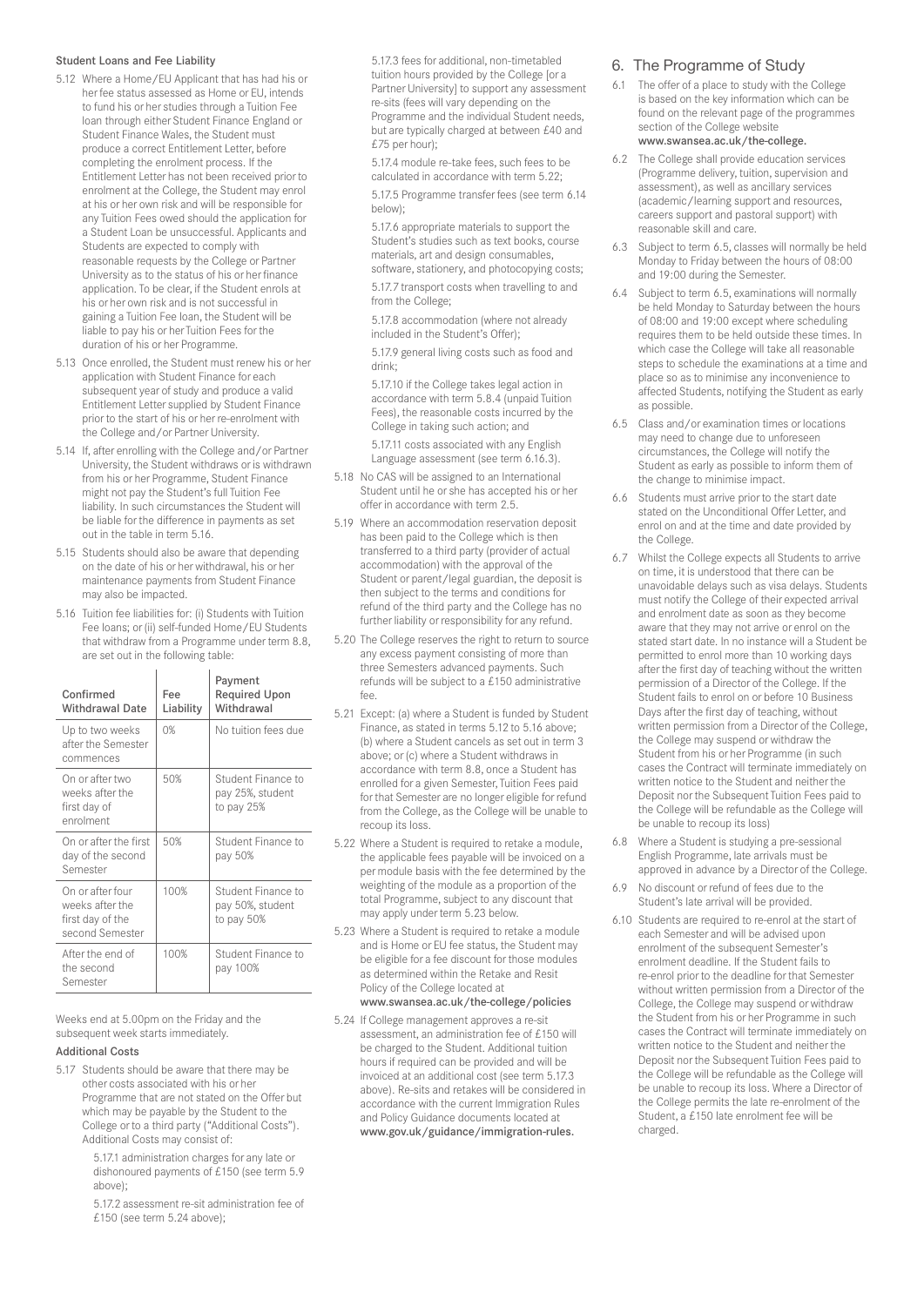#### Student Loans and Fee Liability

- 5.12 Where a Home/EU Applicant that has had his or her fee status assessed as Home or EU, intends to fund his or her studies through a Tuition Fee loan through either Student Finance England or Student Finance Wales, the Student must produce a correct Entitlement Letter, before completing the enrolment process. If the Entitlement Letter has not been received prior to enrolment at the College, the Student may enrol at his or her own risk and will be responsible for any Tuition Fees owed should the application for a Student Loan be unsuccessful. Applicants and Students are expected to comply with reasonable requests by the College or Partner University as to the status of his or her finance application. To be clear, if the Student enrols at his or her own risk and is not successful in gaining a Tuition Fee loan, the Student will be liable to pay his or her Tuition Fees for the duration of his or her Programme.
- 5.13 Once enrolled, the Student must renew his or her application with Student Finance for each subsequent year of study and produce a valid Entitlement Letter supplied by Student Finance prior to the start of his or her re-enrolment with the College and/or Partner University.
- 5.14 If, after enrolling with the College and/or Partner University, the Student withdraws or is withdrawn from his or her Programme, Student Finance might not pay the Student's full Tuition Fee liability. In such circumstances the Student will be liable for the difference in payments as set out in the table in term 5.16.
- 5.15 Students should also be aware that depending on the date of his or her withdrawal, his or her maintenance payments from Student Finance may also be impacted.
- 5.16 Tuition fee liabilities for: (i) Students with Tuition Fee loans; or (ii) self-funded Home / EU Students that withdraw from a Programme under term 8.8, are set out in the following table:

| Confirmed<br><b>Withdrawal Date</b>                                        | Fee<br>Liability | Payment<br><b>Required Upon</b><br>Withdrawal        |
|----------------------------------------------------------------------------|------------------|------------------------------------------------------|
| Up to two weeks<br>after the Semester<br>commences                         | 0%               | No tuition fees due                                  |
| On or after two<br>weeks after the<br>first day of<br>enrolment            | 50%              | Student Finance to<br>pay 25%, student<br>to pay 25% |
| On or after the first<br>day of the second<br>Semester                     | 50%              | Student Finance to<br>pay 50%                        |
| On or after four<br>weeks after the<br>first day of the<br>second Semester | 100%             | Student Finance to<br>pay 50%, student<br>to pay 50% |
| After the end of<br>the second<br>Semester                                 | 100%             | Student Finance to<br>pay 100%                       |

Weeks end at 5.00pm on the Friday and the subsequent week starts immediately.

#### Additional Costs

5.17 Students should be aware that there may be other costs associated with his or her Programme that are not stated on the Offer but which may be payable by the Student to the College or to a third party ("Additional Costs"). Additional Costs may consist of:

> 5.17.1 administration charges for any late or dishonoured payments of £150 (see term 5.9 above);

> 5.17.2 assessment re-sit administration fee of £150 (see term 5.24 above);

5.17.3 fees for additional, non-timetabled tuition hours provided by the College [or a Partner University] to support any assessment re-sits (fees will vary depending on the Programme and the individual Student needs, but are typically charged at between £40 and £75 per hour);

5.17.4 module re-take fees, such fees to be calculated in accordance with term 5.22;

5.17.5 Programme transfer fees (see term 6.14 below);

5.17.6 appropriate materials to support the Student's studies such as text books, course materials, art and design consumables, software, stationery, and photocopying costs;

5.17.7 transport costs when travelling to and from the College;

5.17.8 accommodation (where not already included in the Student's Offer);

5.17.9 general living costs such as food and drink;

5.17.10 if the College takes legal action in accordance with term 5.8.4 (unpaid Tuition Fees), the reasonable costs incurred by the College in taking such action; and

5.17.11 costs associated with any English Language assessment (see term 6.16.3).

- 5.18 No CAS will be assigned to an International Student until he or she has accepted his or her offer in accordance with term 2.5.
- 5.19 Where an accommodation reservation deposit has been paid to the College which is then transferred to a third party (provider of actual accommodation) with the approval of the Student or parent/legal guardian, the deposit is then subject to the terms and conditions for refund of the third party and the College has no further liability or responsibility for any refund.
- 5.20 The College reserves the right to return to source any excess payment consisting of more than three Semesters advanced payments. Such refunds will be subject to a £150 administrative  $f_{\Omega\Omega}$
- 5.21 Except: (a) where a Student is funded by Student Finance, as stated in terms 5.12 to 5.16 above; (b) where a Student cancels as set out in term 3 above; or (c) where a Student withdraws in accordance with term 8.8, once a Student has enrolled for a given Semester, Tuition Fees paid for that Semester are no longer eligible for refund from the College, as the College will be unable to recoup its loss.
- 5.22 Where a Student is required to retake a module, the applicable fees payable will be invoiced on a per module basis with the fee determined by the weighting of the module as a proportion of the total Programme, subject to any discount that may apply under term 5.23 below.
- 5.23 Where a Student is required to retake a module and is Home or ELI fee status, the Student may be eligible for a fee discount for those modules as determined within the Retake and Resit Policy of the College located at www.swansea.ac.uk/the-college/policies
- 5.24 If College management approves a re-sit assessment, an administration fee of £150 will be charged to the Student. Additional tuition hours if required can be provided and will be invoiced at an additional cost (see term 5.17.3 above). Re-sits and retakes will be considered in accordance with the current Immigration Rules and Policy Guidance documents located at www.gov.uk/guidance/immigration-rules.

# 6. The Programme of Study

- 6.1 The offer of a place to study with the College is based on the key information which can be found on the relevant page of the programmes section of the College website www.swansea.ac.uk/the-college.
- 6.2 The College shall provide education services (Programme delivery, tuition, supervision and assessment), as well as ancillary services (academic/learning support and resources, careers support and pastoral support) with reasonable skill and care.
- 6.3 Subject to term 6.5, classes will normally be held Monday to Friday between the hours of 08:00 and 19:00 during the Semester.
- 6.4 Subject to term 6.5, examinations will normally be held Monday to Saturday between the hours of 08:00 and 19:00 except where scheduling requires them to be held outside these times. In which case the College will take all reasonable steps to schedule the examinations at a time and place so as to minimise any inconvenience to affected Students, notifying the Student as early as possible.
- 6.5 Class and/or examination times or locations may need to change due to unforeseen circumstances, the College will notify the Student as early as possible to inform them of the change to minimise impact.
- 6.6 Students must arrive prior to the start date stated on the Unconditional Offer Letter, and enrol on and at the time and date provided by the College.
- 6.7 Whilst the College expects all Students to arrive on time, it is understood that there can be unavoidable delays such as visa delays. Students must notify the College of their expected arrival and enrolment date as soon as they become aware that they may not arrive or enrol on the stated start date. In no instance will a Student be permitted to enrol more than 10 working days after the first day of teaching without the written permission of a Director of the College. If the Student fails to enrol on or before 10 Business Days after the first day of teaching, without written permission from a Director of the College, the College may suspend or withdraw the Student from his or her Programme (in such cases the Contract will terminate immediately on written notice to the Student and neither the Deposit nor the Subsequent Tuition Fees paid to the College will be refundable as the College will be unable to recoup its loss)
- 6.8 Where a Student is studying a pre-sessional English Programme, late arrivals must be approved in advance by a Director of the College.
- No discount or refund of fees due to the Student's late arrival will be provided.
- 6.10 Students are required to re-enrol at the start of each Semester and will be advised upon enrolment of the subsequent Semester's enrolment deadline. If the Student fails to re-enrol prior to the deadline for that Semester without written permission from a Director of the College, the College may suspend or withdraw the Student from his or her Programme in such cases the Contract will terminate immediately on written notice to the Student and neither the Deposit nor the Subsequent Tuition Fees paid to the College will be refundable as the College will be unable to recoup its loss. Where a Director of the College permits the late re-enrolment of the Student, a £150 late enrolment fee will be charged.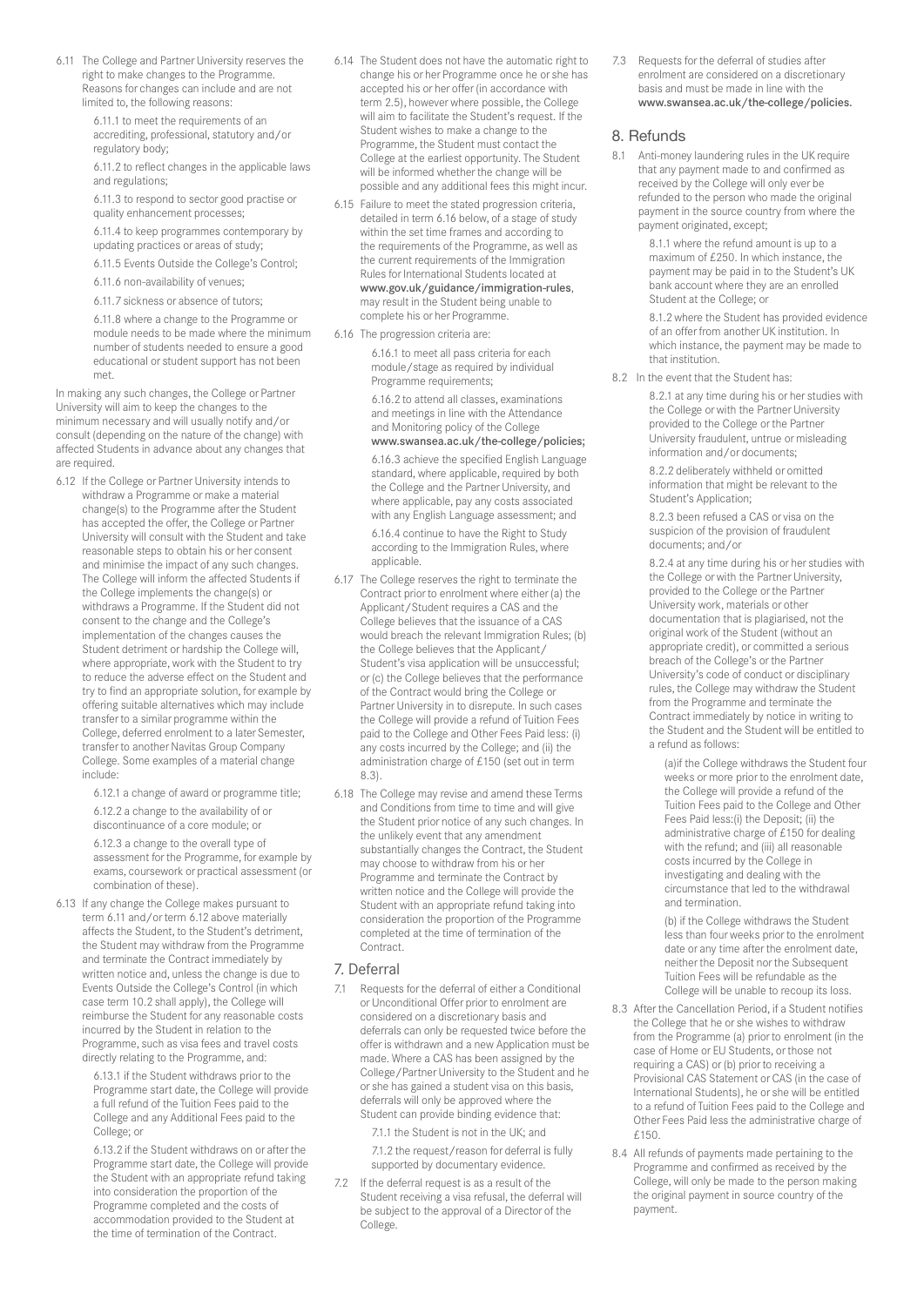6.11 The College and Partner University reserves the right to make changes to the Programme. Reasons for changes can include and are not limited to, the following reasons:

> 6.11.1 to meet the requirements of an accrediting, professional, statutory and/or regulatory body;

6.11.2 to reflect changes in the applicable laws and regulations;

6.11.3 to respond to sector good practise or quality enhancement processes;

6.11.4 to keep programmes contemporary by updating practices or areas of study;

6.11.5 Events Outside the College's Control;

6.11.6 non-availability of venues;

6.11.7 sickness or absence of tutors;

6.11.8 where a change to the Programme or module needs to be made where the minimum number of students needed to ensure a good educational or student support has not been met.

In making any such changes, the College or Partner University will aim to keep the changes to the minimum necessary and will usually notify and/or consult (depending on the nature of the change) with affected Students in advance about any changes that are required.

6.12 If the College or Partner University intends to withdraw a Programme or make a material change(s) to the Programme after the Student has accepted the offer, the College or Partner University will consult with the Student and take reasonable steps to obtain his or her consent and minimise the impact of any such changes. The College will inform the affected Students if the College implements the change(s) or withdraws a Programme. If the Student did not consent to the change and the College's implementation of the changes causes the Student detriment or hardship the College will, where appropriate, work with the Student to try to reduce the adverse effect on the Student and try to find an appropriate solution, for example by offering suitable alternatives which may include transfer to a similar programme within the College, deferred enrolment to a later Semester, transfer to another Navitas Group Company College. Some examples of a material change include:

6.12.1 a change of award or programme title;

6.12.2 a change to the availability of or discontinuance of a core module; or

6.12.3 a change to the overall type of assessment for the Programme, for example by exams, coursework or practical assessment (or combination of these).

6.13 If any change the College makes pursuant to term 6.11 and/or term 6.12 above materially affects the Student, to the Student's detriment, the Student may withdraw from the Programme and terminate the Contract immediately by written notice and, unless the change is due to Events Outside the College's Control (in which case term 10.2 shall apply), the College will reimburse the Student for any reasonable costs incurred by the Student in relation to the Programme, such as visa fees and travel costs directly relating to the Programme, and:

> 6.13.1 if the Student withdraws prior to the Programme start date, the College will provide a full refund of the Tuition Fees paid to the College and any Additional Fees paid to the College; or

6.13.2 if the Student withdraws on or after the Programme start date, the College will provide the Student with an appropriate refund taking into consideration the proportion of the Programme completed and the costs of accommodation provided to the Student at the time of termination of the Contract.

- 6.14 The Student does not have the automatic right to change his or her Programme once he or she has accepted his or her offer (in accordance with term 2.5), however where possible, the College will aim to facilitate the Student's request. If the Student wishes to make a change to the Programme, the Student must contact the College at the earliest opportunity. The Student will be informed whether the change will be possible and any additional fees this might incur.
- 6.15 Failure to meet the stated progression criteria, detailed in term 6.16 below, of a stage of study within the set time frames and according to the requirements of the Programme, as well as the current requirements of the Immigration Rules for International Students located at www.gov.uk/guidance/immigration-rules, may result in the Student being unable to complete his or her Programme.
- 6.16 The progression criteria are:

6.16.1 to meet all pass criteria for each module/stage as required by individual Programme requirements;

6.16.2 to attend all classes, examinations and meetings in line with the Attendance and Monitoring policy of the College www.swansea.ac.uk/the-college/policies;

6.16.3 achieve the specified English Language standard, where applicable, required by both the College and the Partner University, and where applicable, pay any costs associated with any English Language assessment; and 6.16.4 continue to have the Right to Study according to the Immigration Rules, where applicable.

- 6.17 The College reserves the right to terminate the Contract prior to enrolment where either (a) the Applicant/Student requires a CAS and the College believes that the issuance of a CAS would breach the relevant Immigration Rules; (b) the College believes that the Applicant/ Student's visa application will be unsuccessful; or (c) the College believes that the performance of the Contract would bring the College or Partner University in to disrepute. In such cases the College will provide a refund of Tuition Fees paid to the College and Other Fees Paid less: (i) any costs incurred by the College; and (ii) the administration charge of £150 (set out in term 8.3).
- 6.18 The College may revise and amend these Terms and Conditions from time to time and will give the Student prior notice of any such changes. In the unlikely event that any amendment substantially changes the Contract, the Student may choose to withdraw from his or her Programme and terminate the Contract by written notice and the College will provide the Student with an appropriate refund taking into consideration the proportion of the Programme completed at the time of termination of the Contract.

### 7. Deferral

7.1 Requests for the deferral of either a Conditional or Unconditional Offer prior to enrolment are considered on a discretionary basis and deferrals can only be requested twice before the offer is withdrawn and a new Application must be made. Where a CAS has been assigned by the College/Partner University to the Student and he or she has gained a student visa on this basis, deferrals will only be approved where the Student can provide binding evidence that:

7.1.1 the Student is not in the UK; and

7.1.2 the request/reason for deferral is fully supported by documentary evidence.

7.2 If the deferral request is as a result of the Student receiving a visa refusal, the deferral will be subject to the approval of a Director of the College.

7.3 Requests for the deferral of studies after enrolment are considered on a discretionary basis and must be made in line with the www.swansea.ac.uk/the-college/policies.

#### 8. Refunds

8.1 Anti-money laundering rules in the UK require that any payment made to and confirmed as received by the College will only ever be refunded to the person who made the original payment in the source country from where the payment originated, except;

> 8.1.1 where the refund amount is up to a maximum of £250. In which instance, the payment may be paid in to the Student's UK bank account where they are an enrolled Student at the College; or

8.1.2 where the Student has provided evidence of an offer from another UK institution. In which instance, the payment may be made to that institution.

8.2 In the event that the Student has:

8.2.1 at any time during his or her studies with the College or with the Partner University provided to the College or the Partner University fraudulent, untrue or misleading information and/or documents;

8.2.2 deliberately withheld or omitted information that might be relevant to the Student's Application;

8.2.3 been refused a CAS or visa on the suspicion of the provision of fraudulent documents; and/or

8.2.4 at any time during his or her studies with the College or with the Partner University, provided to the College or the Partner University work, materials or other documentation that is plagiarised, not the original work of the Student (without an appropriate credit), or committed a serious breach of the College's or the Partner University's code of conduct or disciplinary rules, the College may withdraw the Student from the Programme and terminate the Contract immediately by notice in writing to the Student and the Student will be entitled to a refund as follows:

(a)if the College withdraws the Student four weeks or more prior to the enrolment date, the College will provide a refund of the Tuition Fees paid to the College and Other Fees Paid less:(i) the Deposit; (ii) the administrative charge of £150 for dealing with the refund; and (iii) all reasonable costs incurred by the College in investigating and dealing with the circumstance that led to the withdrawal and termination.

(b) if the College withdraws the Student less than four weeks prior to the enrolment date or any time after the enrolment date, neither the Deposit nor the Subsequent Tuition Fees will be refundable as the College will be unable to recoup its loss.

- 8.3 After the Cancellation Period, if a Student notifies the College that he or she wishes to withdraw from the Programme (a) prior to enrolment (in the case of Home or EU Students, or those not requiring a CAS) or (b) prior to receiving a Provisional CAS Statement or CAS (in the case of International Students), he or she will be entitled to a refund of Tuition Fees paid to the College and Other Fees Paid less the administrative charge of  $f150$
- 8.4 All refunds of payments made pertaining to the Programme and confirmed as received by the College, will only be made to the person making the original payment in source country of the payment.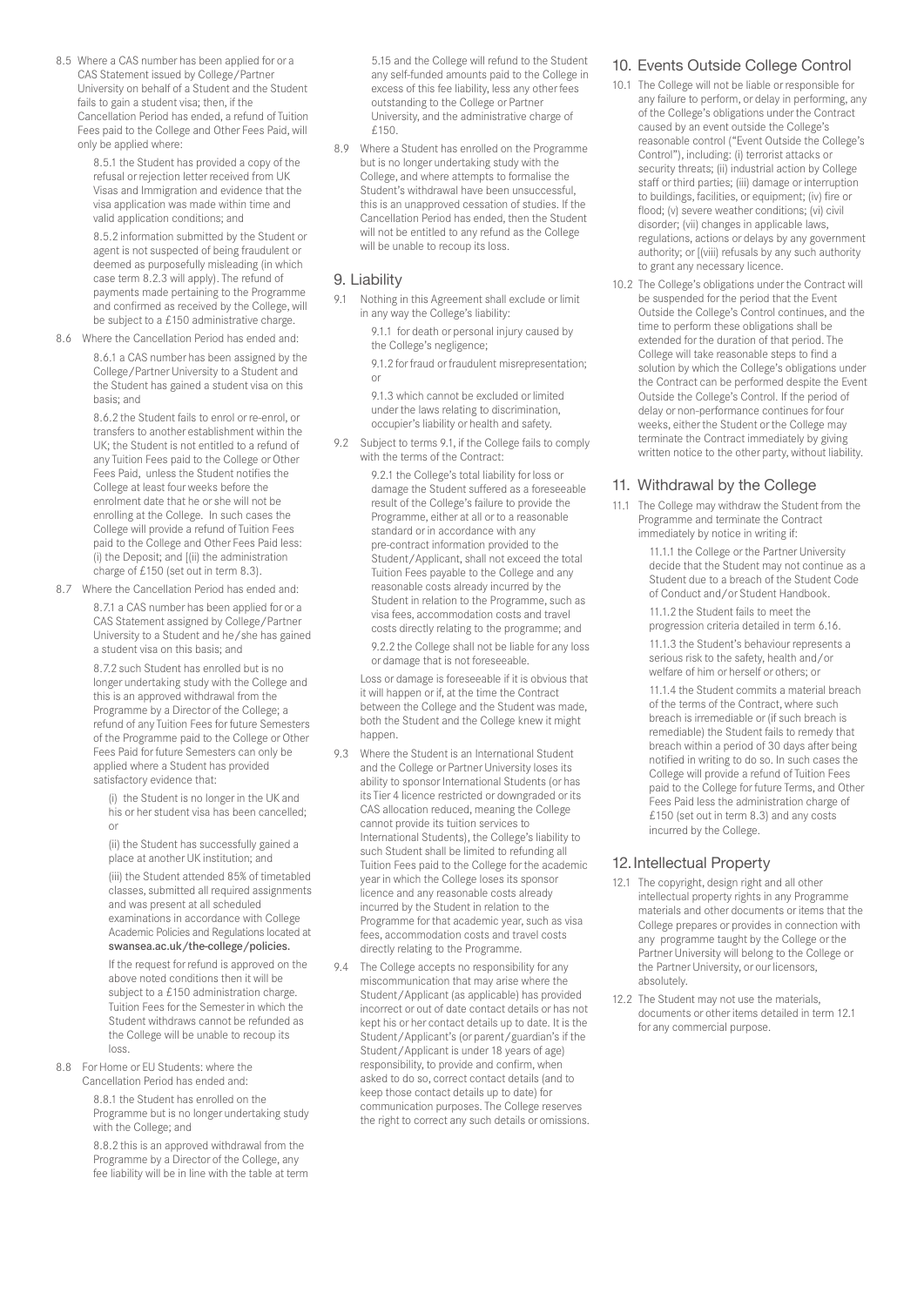8.5 Where a CAS number has been applied for or a CAS Statement issued by College/Partner University on behalf of a Student and the Student fails to gain a student visa; then, if the Cancellation Period has ended, a refund of Tuition Fees paid to the College and Other Fees Paid, will only be applied where:

> 8.5.1 the Student has provided a copy of the refusal or rejection letter received from UK Visas and Immigration and evidence that the visa application was made within time and valid application conditions; and

8.5.2 information submitted by the Student or agent is not suspected of being fraudulent or deemed as purposefully misleading (in which case term 8.2.3 will apply). The refund of payments made pertaining to the Programme and confirmed as received by the College, will be subject to a £150 administrative charge.

8.6 Where the Cancellation Period has ended and:

8.6.1 a CAS number has been assigned by the College/Partner University to a Student and the Student has gained a student visa on this basis; and

8.6.2 the Student fails to enrol or re-enrol, or transfers to another establishment within the UK; the Student is not entitled to a refund of any Tuition Fees paid to the College or Other Fees Paid, unless the Student notifies the College at least four weeks before the enrolment date that he or she will not be enrolling at the College. In such cases the College will provide a refund of Tuition Fees paid to the College and Other Fees Paid less: (i) the Deposit; and [(ii) the administration charge of £150 (set out in term 8.3).

8.7 Where the Cancellation Period has ended and: 8.7.1 a CAS number has been applied for or a CAS Statement assigned by College/Partner University to a Student and he/she has gained a student visa on this basis; and

> 8.7.2 such Student has enrolled but is no longer undertaking study with the College and this is an approved withdrawal from the Programme by a Director of the College; a refund of any Tuition Fees for future Semesters of the Programme paid to the College or Other Fees Paid for future Semesters can only be applied where a Student has provided satisfactory evidence that:

(i) the Student is no longer in the UK and his or her student visa has been cancelled; or

(ii) the Student has successfully gained a place at another UK institution; and

(iii) the Student attended 85% of timetabled classes, submitted all required assignments and was present at all scheduled examinations in accordance with College Academic Policies and Regulations located at swansea.ac.uk/the-college/policies.

If the request for refund is approved on the above noted conditions then it will be subject to a £150 administration charge. Tuition Fees for the Semester in which the Student withdraws cannot be refunded as the College will be unable to recoup its loss.

8.8 For Home or EU Students: where the Cancellation Period has ended and:

> 8.8.1 the Student has enrolled on the Programme but is no longer undertaking study with the College; and

> 8.8.2 this is an approved withdrawal from the Programme by a Director of the College, any fee liability will be in line with the table at term

5.15 and the College will refund to the Student any self-funded amounts paid to the College in excess of this fee liability, less any other fees outstanding to the College or Partner University, and the administrative charge of £150.

8.9 Where a Student has enrolled on the Programme but is no longer undertaking study with the College, and where attempts to formalise the Student's withdrawal have been unsuccessful, this is an unapproved cessation of studies. If the Cancellation Period has ended, then the Student will not be entitled to any refund as the College will be unable to recoup its loss.

#### 9. Liability

9.1 Nothing in this Agreement shall exclude or limit in any way the College's liability:

> 9.1.1 for death or personal injury caused by the College's negligence;

9.1.2 for fraud or fraudulent misrepresentation; or

9.1.3 which cannot be excluded or limited under the laws relating to discrimination, occupier's liability or health and safety.

9.2 Subject to terms 9.1, if the College fails to comply with the terms of the Contract:

> 9.2.1 the College's total liability for loss or damage the Student suffered as a foreseeable result of the College's failure to provide the Programme, either at all or to a reasonable standard or in accordance with any pre-contract information provided to the Student/Applicant, shall not exceed the total Tuition Fees payable to the College and any reasonable costs already incurred by the Student in relation to the Programme, such as visa fees, accommodation costs and travel costs directly relating to the programme; and

> 9.2.2 the College shall not be liable for any loss or damage that is not foreseeable.

 Loss or damage is foreseeable if it is obvious that it will happen or if, at the time the Contract between the College and the Student was made, both the Student and the College knew it might happen.

- 9.3 Where the Student is an International Student and the College or Partner University loses its ability to sponsor International Students (or has its Tier 4 licence restricted or downgraded or its CAS allocation reduced, meaning the College cannot provide its tuition services to International Students), the College's liability to such Student shall be limited to refunding all Tuition Fees paid to the College for the academic year in which the College loses its sponsor licence and any reasonable costs already incurred by the Student in relation to the Programme for that academic year, such as visa fees, accommodation costs and travel costs directly relating to the Programme.
- 9.4 The College accepts no responsibility for any miscommunication that may arise where the Student/Applicant (as applicable) has provided incorrect or out of date contact details or has not kept his or her contact details up to date. It is the Student/Applicant's (or parent/guardian's if the Student/Applicant is under 18 years of age) responsibility, to provide and confirm, when asked to do so, correct contact details (and to keep those contact details up to date) for communication purposes. The College reserves the right to correct any such details or omissions.

# 10. Events Outside College Control

- 10.1 The College will not be liable or responsible for any failure to perform, or delay in performing, any of the College's obligations under the Contract caused by an event outside the College's reasonable control ("Event Outside the College's Control"), including: (i) terrorist attacks or security threats; (ii) industrial action by College staff or third parties; (iii) damage or interruption to buildings, facilities, or equipment; (iv) fire or flood; (v) severe weather conditions; (vi) civil disorder; (vii) changes in applicable laws, regulations, actions or delays by any government authority; or [(viii) refusals by any such authority to grant any necessary licence.
- 10.2 The College's obligations under the Contract will be suspended for the period that the Event Outside the College's Control continues, and the time to perform these obligations shall be extended for the duration of that period. The College will take reasonable steps to find a solution by which the College's obligations under the Contract can be performed despite the Event Outside the College's Control. If the period of delay or non-performance continues for four weeks, either the Student or the College may terminate the Contract immediately by giving written notice to the other party, without liability.

### 11. Withdrawal by the College

11.1 The College may withdraw the Student from the Programme and terminate the Contract immediately by notice in writing if:

11.1.1 the College or the Partner University decide that the Student may not continue as a Student due to a breach of the Student Code of Conduct and/or Student Handbook.

11.1.2 the Student fails to meet the progression criteria detailed in term 6.16.

11.1.3 the Student's behaviour represents a serious risk to the safety, health and/or welfare of him or herself or others; or

11.1.4 the Student commits a material breach of the terms of the Contract, where such breach is irremediable or (if such breach is remediable) the Student fails to remedy that breach within a period of 30 days after being notified in writing to do so. In such cases the College will provide a refund of Tuition Fees paid to the College for future Terms, and Other Fees Paid less the administration charge of £150 (set out in term 8.3) and any costs incurred by the College.

# 12.Intellectual Property

- 12.1 The copyright, design right and all other intellectual property rights in any Programme materials and other documents or items that the College prepares or provides in connection with any programme taught by the College or the Partner University will belong to the College or the Partner University, or our licensors, absolutely.
- 12.2 The Student may not use the materials, documents or other items detailed in term 12.1 for any commercial purpose.